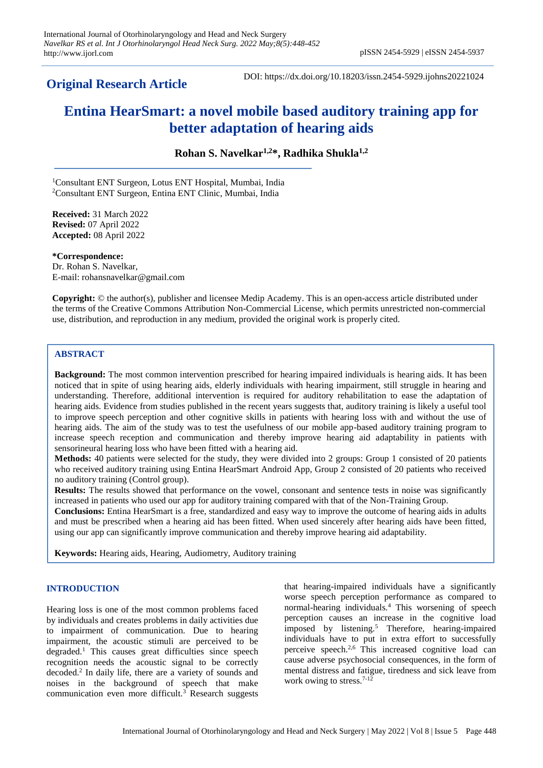# **Original Research Article**

DOI: https://dx.doi.org/10.18203/issn.2454-5929.ijohns20221024

# **Entina HearSmart: a novel mobile based auditory training app for better adaptation of hearing aids**

**Rohan S. Navelkar1,2\*, Radhika Shukla1,2**

<sup>1</sup>Consultant ENT Surgeon, Lotus ENT Hospital, Mumbai, India <sup>2</sup>Consultant ENT Surgeon, Entina ENT Clinic, Mumbai, India

**Received:** 31 March 2022 **Revised:** 07 April 2022 **Accepted:** 08 April 2022

**\*Correspondence:** Dr. Rohan S. Navelkar, E-mail: rohansnavelkar@gmail.com

**Copyright:** © the author(s), publisher and licensee Medip Academy. This is an open-access article distributed under the terms of the Creative Commons Attribution Non-Commercial License, which permits unrestricted non-commercial use, distribution, and reproduction in any medium, provided the original work is properly cited.

### **ABSTRACT**

**Background:** The most common intervention prescribed for hearing impaired individuals is hearing aids. It has been noticed that in spite of using hearing aids, elderly individuals with hearing impairment, still struggle in hearing and understanding. Therefore, additional intervention is required for auditory rehabilitation to ease the adaptation of hearing aids. Evidence from studies published in the recent years suggests that, auditory training is likely a useful tool to improve speech perception and other cognitive skills in patients with hearing loss with and without the use of hearing aids. The aim of the study was to test the usefulness of our mobile app-based auditory training program to increase speech reception and communication and thereby improve hearing aid adaptability in patients with sensorineural hearing loss who have been fitted with a hearing aid.

**Methods:** 40 patients were selected for the study, they were divided into 2 groups: Group 1 consisted of 20 patients who received auditory training using Entina HearSmart Android App, Group 2 consisted of 20 patients who received no auditory training (Control group).

**Results:** The results showed that performance on the vowel, consonant and sentence tests in noise was significantly increased in patients who used our app for auditory training compared with that of the Non-Training Group.

**Conclusions:** Entina HearSmart is a free, standardized and easy way to improve the outcome of hearing aids in adults and must be prescribed when a hearing aid has been fitted. When used sincerely after hearing aids have been fitted, using our app can significantly improve communication and thereby improve hearing aid adaptability.

**Keywords:** Hearing aids, Hearing, Audiometry, Auditory training

## **INTRODUCTION**

Hearing loss is one of the most common problems faced by individuals and creates problems in daily activities due to impairment of communication. Due to hearing impairment, the acoustic stimuli are perceived to be degraded.<sup>1</sup> This causes great difficulties since speech recognition needs the acoustic signal to be correctly decoded.<sup>2</sup> In daily life, there are a variety of sounds and noises in the background of speech that make communication even more difficult.<sup>3</sup> Research suggests that hearing-impaired individuals have a significantly worse speech perception performance as compared to normal-hearing individuals.<sup>4</sup> This worsening of speech perception causes an increase in the cognitive load imposed by listening.<sup>5</sup> Therefore, hearing-impaired individuals have to put in extra effort to successfully perceive speech.2,6 This increased cognitive load can cause adverse psychosocial consequences, in the form of mental distress and fatigue, tiredness and sick leave from work owing to stress.<sup>7-12</sup>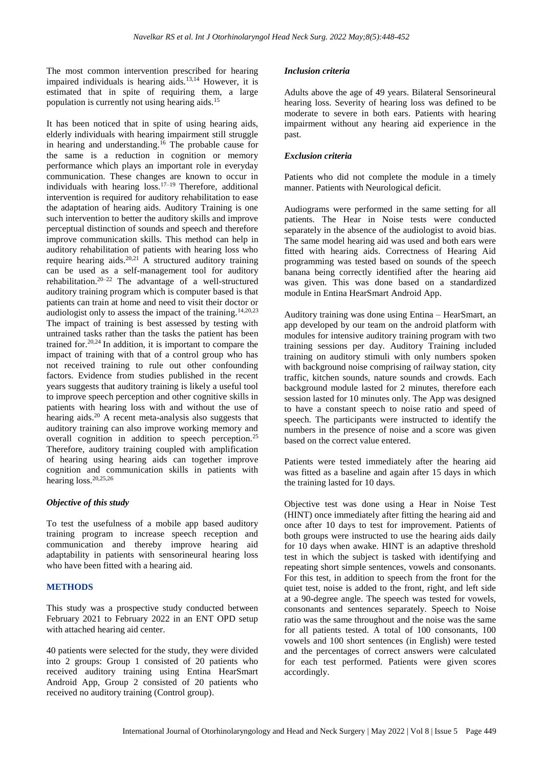The most common intervention prescribed for hearing impaired individuals is hearing aids.13,14 However, it is estimated that in spite of requiring them, a large population is currently not using hearing aids.<sup>15</sup>

It has been noticed that in spite of using hearing aids, elderly individuals with hearing impairment still struggle in hearing and understanding.<sup>16</sup> The probable cause for the same is a reduction in cognition or memory performance which plays an important role in everyday communication. These changes are known to occur in individuals with hearing  $loss$ <sup>17–19</sup> Therefore, additional intervention is required for auditory rehabilitation to ease the adaptation of hearing aids. Auditory Training is one such intervention to better the auditory skills and improve perceptual distinction of sounds and speech and therefore improve communication skills. This method can help in auditory rehabilitation of patients with hearing loss who require hearing aids.20,21 A structured auditory training can be used as a self-management tool for auditory rehabilitation.20–22 The advantage of a well-structured auditory training program which is computer based is that patients can train at home and need to visit their doctor or audiologist only to assess the impact of the training.14,20,23 The impact of training is best assessed by testing with untrained tasks rather than the tasks the patient has been trained for.20,24 In addition, it is important to compare the impact of training with that of a control group who has not received training to rule out other confounding factors. Evidence from studies published in the recent years suggests that auditory training is likely a useful tool to improve speech perception and other cognitive skills in patients with hearing loss with and without the use of hearing aids.<sup>20</sup> A recent meta-analysis also suggests that auditory training can also improve working memory and overall cognition in addition to speech perception.<sup>25</sup> Therefore, auditory training coupled with amplification of hearing using hearing aids can together improve cognition and communication skills in patients with hearing loss.<sup>20,25,26</sup>

#### *Objective of this study*

To test the usefulness of a mobile app based auditory training program to increase speech reception and communication and thereby improve hearing aid adaptability in patients with sensorineural hearing loss who have been fitted with a hearing aid.

#### **METHODS**

This study was a prospective study conducted between February 2021 to February 2022 in an ENT OPD setup with attached hearing aid center.

40 patients were selected for the study, they were divided into 2 groups: Group 1 consisted of 20 patients who received auditory training using Entina HearSmart Android App, Group 2 consisted of 20 patients who received no auditory training (Control group).

#### *Inclusion criteria*

Adults above the age of 49 years. Bilateral Sensorineural hearing loss. Severity of hearing loss was defined to be moderate to severe in both ears. Patients with hearing impairment without any hearing aid experience in the past.

#### *Exclusion criteria*

Patients who did not complete the module in a timely manner. Patients with Neurological deficit.

Audiograms were performed in the same setting for all patients. The Hear in Noise tests were conducted separately in the absence of the audiologist to avoid bias. The same model hearing aid was used and both ears were fitted with hearing aids. Correctness of Hearing Aid programming was tested based on sounds of the speech banana being correctly identified after the hearing aid was given. This was done based on a standardized module in Entina HearSmart Android App.

Auditory training was done using Entina – HearSmart, an app developed by our team on the android platform with modules for intensive auditory training program with two training sessions per day. Auditory Training included training on auditory stimuli with only numbers spoken with background noise comprising of railway station, city traffic, kitchen sounds, nature sounds and crowds. Each background module lasted for 2 minutes, therefore each session lasted for 10 minutes only. The App was designed to have a constant speech to noise ratio and speed of speech. The participants were instructed to identify the numbers in the presence of noise and a score was given based on the correct value entered.

Patients were tested immediately after the hearing aid was fitted as a baseline and again after 15 days in which the training lasted for 10 days.

Objective test was done using a Hear in Noise Test (HINT) once immediately after fitting the hearing aid and once after 10 days to test for improvement. Patients of both groups were instructed to use the hearing aids daily for 10 days when awake. HINT is an adaptive threshold test in which the subject is tasked with identifying and repeating short simple sentences, vowels and consonants. For this test, in addition to speech from the front for the quiet test, noise is added to the front, right, and left side at a 90-degree angle. The speech was tested for vowels, consonants and sentences separately. Speech to Noise ratio was the same throughout and the noise was the same for all patients tested. A total of 100 consonants, 100 vowels and 100 short sentences (in English) were tested and the percentages of correct answers were calculated for each test performed. Patients were given scores accordingly.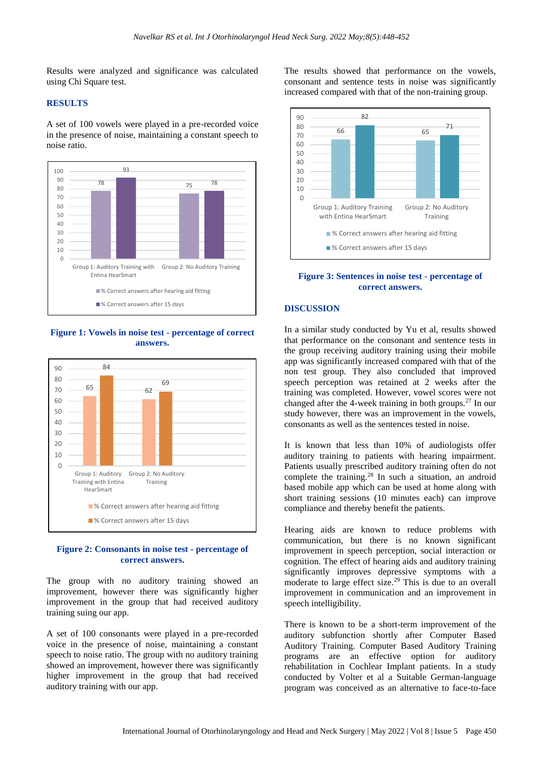Results were analyzed and significance was calculated using Chi Square test.

#### **RESULTS**

A set of 100 vowels were played in a pre-recorded voice in the presence of noise, maintaining a constant speech to noise ratio.



**Figure 1: Vowels in noise test - percentage of correct answers.**



#### **Figure 2: Consonants in noise test - percentage of correct answers.**

The group with no auditory training showed an improvement, however there was significantly higher improvement in the group that had received auditory training suing our app.

A set of 100 consonants were played in a pre-recorded voice in the presence of noise, maintaining a constant speech to noise ratio. The group with no auditory training showed an improvement, however there was significantly higher improvement in the group that had received auditory training with our app.

The results showed that performance on the vowels, consonant and sentence tests in noise was significantly increased compared with that of the non-training group.



**Figure 3: Sentences in noise test - percentage of correct answers.**

#### **DISCUSSION**

In a similar study conducted by Yu et al, results showed that performance on the consonant and sentence tests in the group receiving auditory training using their mobile app was significantly increased compared with that of the non test group. They also concluded that improved speech perception was retained at 2 weeks after the training was completed. However, vowel scores were not changed after the 4-week training in both groups.<sup>27</sup> In our study however, there was an improvement in the vowels, consonants as well as the sentences tested in noise.

It is known that less than 10% of audiologists offer auditory training to patients with hearing impairment. Patients usually prescribed auditory training often do not complete the training.<sup>28</sup> In such a situation, an android based mobile app which can be used at home along with short training sessions (10 minutes each) can improve compliance and thereby benefit the patients.

Hearing aids are known to reduce problems with communication, but there is no known significant improvement in speech perception, social interaction or cognition. The effect of hearing aids and auditory training significantly improves depressive symptoms with a moderate to large effect size.<sup>29</sup> This is due to an overall improvement in communication and an improvement in speech intelligibility.

There is known to be a short-term improvement of the auditory subfunction shortly after Computer Based Auditory Training. Computer Based Auditory Training programs are an effective option for auditory rehabilitation in Cochlear Implant patients. In a study conducted by Volter et al a Suitable German-language program was conceived as an alternative to face-to-face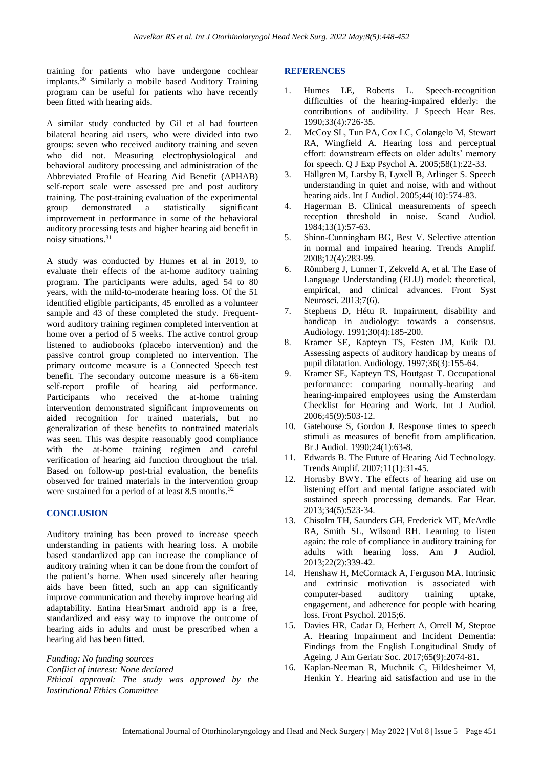training for patients who have undergone cochlear implants.<sup>30</sup> Similarly a mobile based Auditory Training program can be useful for patients who have recently been fitted with hearing aids.

A similar study conducted by Gil et al had fourteen bilateral hearing aid users, who were divided into two groups: seven who received auditory training and seven who did not. Measuring electrophysiological and behavioral auditory processing and administration of the Abbreviated Profile of Hearing Aid Benefit (APHAB) self-report scale were assessed pre and post auditory training. The post-training evaluation of the experimental group demonstrated a statistically significant improvement in performance in some of the behavioral auditory processing tests and higher hearing aid benefit in noisy situations.<sup>31</sup>

A study was conducted by Humes et al in 2019, to evaluate their effects of the at-home auditory training program. The participants were adults, aged 54 to 80 years, with the mild-to-moderate hearing loss. Of the 51 identified eligible participants, 45 enrolled as a volunteer sample and 43 of these completed the study. Frequentword auditory training regimen completed intervention at home over a period of 5 weeks. The active control group listened to audiobooks (placebo intervention) and the passive control group completed no intervention. The primary outcome measure is a Connected Speech test benefit. The secondary outcome measure is a 66-item self-report profile of hearing aid performance. Participants who received the at-home training intervention demonstrated significant improvements on aided recognition for trained materials, but no generalization of these benefits to nontrained materials was seen. This was despite reasonably good compliance with the at-home training regimen and careful verification of hearing aid function throughout the trial. Based on follow-up post-trial evaluation, the benefits observed for trained materials in the intervention group were sustained for a period of at least 8.5 months.<sup>32</sup>

#### **CONCLUSION**

Auditory training has been proved to increase speech understanding in patients with hearing loss. A mobile based standardized app can increase the compliance of auditory training when it can be done from the comfort of the patient's home. When used sincerely after hearing aids have been fitted, such an app can significantly improve communication and thereby improve hearing aid adaptability. Entina HearSmart android app is a free, standardized and easy way to improve the outcome of hearing aids in adults and must be prescribed when a hearing aid has been fitted.

*Funding: No funding sources Conflict of interest: None declared Ethical approval: The study was approved by the Institutional Ethics Committee*

#### **REFERENCES**

- 1. Humes LE, Roberts L. Speech-recognition difficulties of the hearing-impaired elderly: the contributions of audibility. J Speech Hear Res. 1990;33(4):726-35.
- 2. McCoy SL, Tun PA, Cox LC, Colangelo M, Stewart RA, Wingfield A. Hearing loss and perceptual effort: downstream effects on older adults' memory for speech. Q J Exp Psychol A. 2005;58(1):22-33.
- 3. Hällgren M, Larsby B, Lyxell B, Arlinger S. Speech understanding in quiet and noise, with and without hearing aids. Int J Audiol. 2005;44(10):574-83.
- 4. Hagerman B. Clinical measurements of speech reception threshold in noise. Scand Audiol. 1984;13(1):57-63.
- 5. Shinn-Cunningham BG, Best V. Selective attention in normal and impaired hearing. Trends Amplif. 2008;12(4):283-99.
- 6. Rönnberg J, Lunner T, Zekveld A, et al. The Ease of Language Understanding (ELU) model: theoretical, empirical, and clinical advances. Front Syst Neurosci. 2013;7(6).
- 7. Stephens D, Hétu R. Impairment, disability and handicap in audiology: towards a consensus. Audiology. 1991;30(4):185-200.
- 8. Kramer SE, Kapteyn TS, Festen JM, Kuik DJ. Assessing aspects of auditory handicap by means of pupil dilatation. Audiology. 1997;36(3):155-64.
- 9. Kramer SE, Kapteyn TS, Houtgast T. Occupational performance: comparing normally-hearing and hearing-impaired employees using the Amsterdam Checklist for Hearing and Work. Int J Audiol. 2006;45(9):503-12.
- 10. Gatehouse S, Gordon J. Response times to speech stimuli as measures of benefit from amplification. Br J Audiol. 1990;24(1):63-8.
- 11. Edwards B. The Future of Hearing Aid Technology. Trends Amplif. 2007;11(1):31-45.
- 12. Hornsby BWY. The effects of hearing aid use on listening effort and mental fatigue associated with sustained speech processing demands. Ear Hear. 2013;34(5):523-34.
- 13. Chisolm TH, Saunders GH, Frederick MT, McArdle RA, Smith SL, Wilsond RH. Learning to listen again: the role of compliance in auditory training for adults with hearing loss. Am J Audiol. 2013;22(2):339-42.
- 14. Henshaw H, McCormack A, Ferguson MA. Intrinsic and extrinsic motivation is associated with computer-based auditory training uptake, engagement, and adherence for people with hearing loss. Front Psychol. 2015;6.
- 15. Davies HR, Cadar D, Herbert A, Orrell M, Steptoe A. Hearing Impairment and Incident Dementia: Findings from the English Longitudinal Study of Ageing. J Am Geriatr Soc. 2017;65(9):2074-81.
- 16. Kaplan-Neeman R, Muchnik C, Hildesheimer M, Henkin Y. Hearing aid satisfaction and use in the